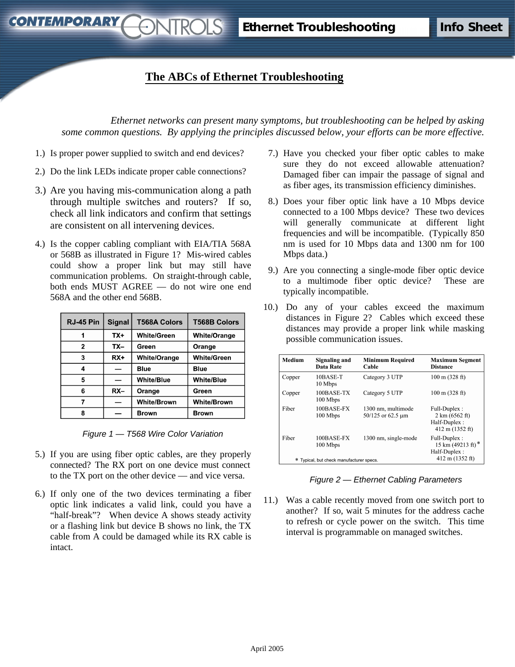## **The ABCs of Ethernet Troubleshooting**

*STROLS* 

*Ethernet networks can present many symptoms, but troubleshooting can be helped by asking some common questions. By applying the principles discussed below, your efforts can be more effective.*

1.) Is proper power supplied to switch and end devices?

**CONTEMPORARY** 

- 2.) Do the link LEDs indicate proper cable connections?
- 3.) Are you having mis-communication along a path through multiple switches and routers? If so, check all link indicators and confirm that settings are consistent on all intervening devices.
- 4.) Is the copper cabling compliant with EIA/TIA 568A or 568B as illustrated in Figure 1? Mis-wired cables could show a proper link but may still have communication problems. On straight-through cable, both ends MUST AGREE — do not wire one end 568A and the other end 568B.

| RJ-45 Pin    | <b>Signal</b> | <b>T568A Colors</b> | <b>T568B Colors</b> |
|--------------|---------------|---------------------|---------------------|
|              | $TX+$         | <b>White/Green</b>  | <b>White/Orange</b> |
| $\mathbf{2}$ | TX-           | Green               | Orange              |
| 3            | $RX+$         | <b>White/Orange</b> | <b>White/Green</b>  |
| 4            |               | <b>Blue</b>         | <b>Blue</b>         |
| 5            |               | <b>White/Blue</b>   | <b>White/Blue</b>   |
| 6            | $RX -$        | Orange              | Green               |
|              |               | <b>White/Brown</b>  | <b>White/Brown</b>  |
| 8            |               | <b>Brown</b>        | <b>Brown</b>        |

*Figure 1 — T568 Wire Color Variation*

- 5.) If you are using fiber optic cables, are they properly connected? The RX port on one device must connect to the TX port on the other device — and vice versa.
- 6.) If only one of the two devices terminating a fiber optic link indicates a valid link, could you have a "half-break"? When device A shows steady activity or a flashing link but device B shows no link, the TX cable from A could be damaged while its RX cable is intact.
- 7.) Have you checked your fiber optic cables to make sure they do not exceed allowable attenuation? Damaged fiber can impair the passage of signal and as fiber ages, its transmission efficiency diminishes.
- 8.) Does your fiber optic link have a 10 Mbps device connected to a 100 Mbps device? These two devices will generally communicate at different light frequencies and will be incompatible. (Typically 850 nm is used for 10 Mbps data and 1300 nm for 100 Mbps data.)
- 9.) Are you connecting a single-mode fiber optic device to a multimode fiber optic device? These are typically incompatible.
- 10.) Do any of your cables exceed the maximum distances in Figure 2? Cables which exceed these distances may provide a proper link while masking possible communication issues.

| 10BASE-T<br>10 Mbps<br>100BASE-TX | Category 3 UTP<br>Category 5 UTP        | $100 \text{ m}$ (328 ft)                                                             |
|-----------------------------------|-----------------------------------------|--------------------------------------------------------------------------------------|
|                                   |                                         |                                                                                      |
| 100 Mbps                          |                                         | $100 \text{ m} (328 \text{ ft})$                                                     |
| 100BASE-FX<br>100 Mbps            | 1300 nm, multimode<br>50/125 or 62.5 um | Full-Duplex:<br>$2 \text{ km } (6562 \text{ ft})$<br>Half-Duplex:<br>412 m (1352 ft) |
| 100BASE-FX<br>100 Mbps            | 1300 nm, single-mode                    | Full-Duplex :<br>15 km $(49213 \text{ ft})^*$<br>Half-Duplex:<br>412 m (1352 ft)     |
|                                   |                                         | * Typical, but check manufacturer specs.                                             |

*Figure 2 — Ethernet Cabling Parameters*

11.) Was a cable recently moved from one switch port to another? If so, wait 5 minutes for the address cache to refresh or cycle power on the switch. This time interval is programmable on managed switches.